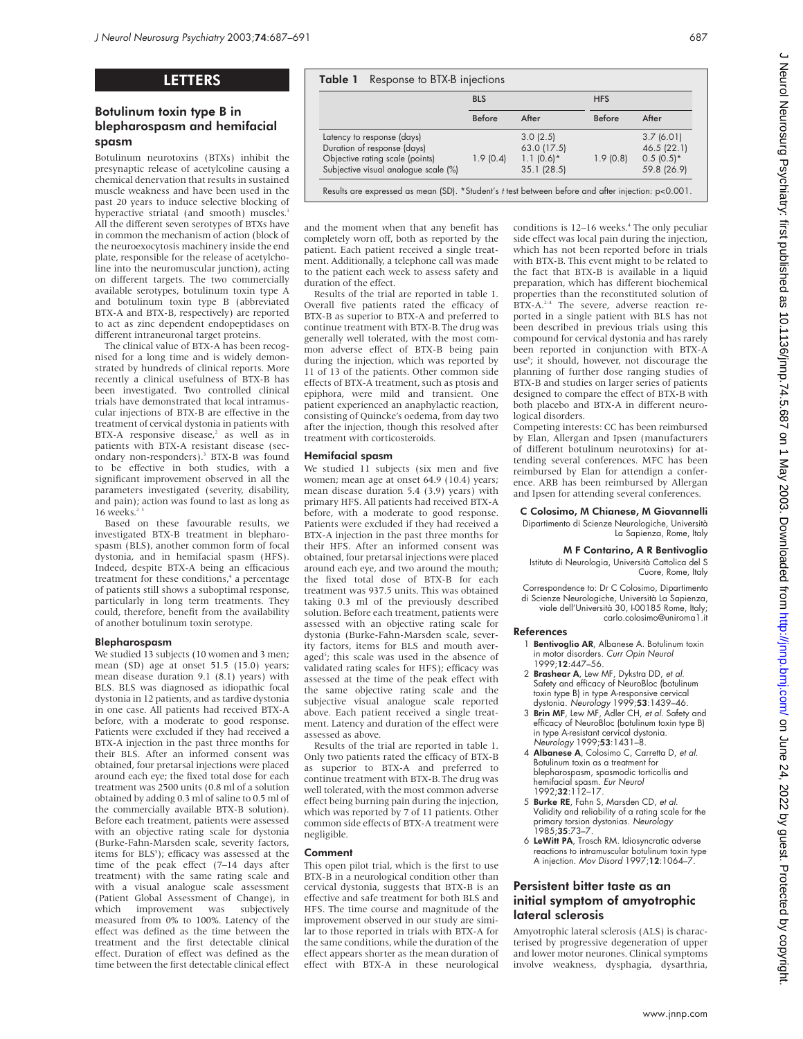# LETTERS

# Botulinum toxin type B in blepharospasm and hemifacial spasm

Botulinum neurotoxins (BTXs) inhibit the presynaptic release of acetylcoline causing a chemical denervation that results in sustained muscle weakness and have been used in the past 20 years to induce selective blocking of hyperactive striatal (and smooth) muscles.<sup>1</sup> All the different seven serotypes of BTXs have in common the mechanism of action (block of the neuroexocytosis machinery inside the end plate, responsible for the release of acetylcholine into the neuromuscular junction), acting on different targets. The two commercially available serotypes, botulinum toxin type A and botulinum toxin type B (abbreviated BTX-A and BTX-B, respectively) are reported to act as zinc dependent endopeptidases on different intraneuronal target proteins.

The clinical value of BTX-A has been recognised for a long time and is widely demonstrated by hundreds of clinical reports. More recently a clinical usefulness of BTX-B has been investigated. Two controlled clinical trials have demonstrated that local intramuscular injections of BTX-B are effective in the treatment of cervical dystonia in patients with BTX-A responsive disease,<sup>2</sup> as well as in patients with BTX-A resistant disease (secondary non-responders).<sup>3</sup> BTX-B was found to be effective in both studies, with a significant improvement observed in all the parameters investigated (severity, disability, and pain); action was found to last as long as  $16$  weeks.<sup>2</sup>

Based on these favourable results, we investigated BTX-B treatment in blepharospasm (BLS), another common form of focal dystonia, and in hemifacial spasm (HFS). Indeed, despite BTX-A being an efficacious treatment for these conditions,<sup>4</sup> a percentage of patients still shows a suboptimal response, particularly in long term treatments. They could, therefore, benefit from the availability of another botulinum toxin serotype.

## Blepharospasm

We studied 13 subjects (10 women and 3 men; mean (SD) age at onset 51.5 (15.0) years; mean disease duration 9.1 (8.1) years) with BLS. BLS was diagnosed as idiopathic focal dystonia in 12 patients, and as tardive dystonia in one case. All patients had received BTX-A before, with a moderate to good response. Patients were excluded if they had received a BTX-A injection in the past three months for their BLS. After an informed consent was obtained, four pretarsal injections were placed around each eye; the fixed total dose for each treatment was 2500 units (0.8 ml of a solution obtained by adding 0.3 ml of saline to 0.5 ml of the commercially available BTX-B solution). Before each treatment, patients were assessed with an objective rating scale for dystonia (Burke-Fahn-Marsden scale, severity factors, items for BLS<sup>5</sup>); efficacy was assessed at the time of the peak effect (7–14 days after treatment) with the same rating scale and with a visual analogue scale assessment (Patient Global Assessment of Change), in<br>which improvement was subjectively which improvement was subjectively measured from 0% to 100%. Latency of the effect was defined as the time between the treatment and the first detectable clinical effect. Duration of effect was defined as the time between the first detectable clinical effect

|                                      | <b>BLS</b> |             | <b>HFS</b>    |              |
|--------------------------------------|------------|-------------|---------------|--------------|
|                                      | Before     | After       | <b>Before</b> | After        |
| Latency to response (days)           |            | 3.0(2.5)    |               | 3.7(6.01)    |
| Duration of response (days)          |            | 63.0 (17.5) |               | 46.5 (22.1)  |
| Objective rating scale (points)      | 1.9(0.4)   | $1.1(0.6)*$ | 1.9(0.8)      | $0.5(0.5)^*$ |
| Subjective visual analogue scale (%) |            | 35.1(28.5)  |               | 59.8 (26.9)  |

and the moment when that any benefit has completely worn off, both as reported by the patient. Each patient received a single treatment. Additionally, a telephone call was made to the patient each week to assess safety and duration of the effect.

Results of the trial are reported in table 1. Overall five patients rated the efficacy of BTX-B as superior to BTX-A and preferred to continue treatment with BTX-B. The drug was generally well tolerated, with the most common adverse effect of BTX-B being pain during the injection, which was reported by 11 of 13 of the patients. Other common side effects of BTX-A treatment, such as ptosis and epiphora, were mild and transient. One patient experienced an anaphylactic reaction, consisting of Quincke's oedema, from day two after the injection, though this resolved after treatment with corticosteroids.

## Hemifacial spasm

We studied 11 subjects (six men and five women; mean age at onset 64.9 (10.4) years; mean disease duration 5.4 (3.9) years) with primary HFS. All patients had received BTX-A before, with a moderate to good response. Patients were excluded if they had received a BTX-A injection in the past three months for their HFS. After an informed consent was obtained, four pretarsal injections were placed around each eye, and two around the mouth; the fixed total dose of BTX-B for each treatment was 937.5 units. This was obtained taking 0.3 ml of the previously described solution. Before each treatment, patients were assessed with an objective rating scale for dystonia (Burke-Fahn-Marsden scale, severity factors, items for BLS and mouth averaged<sup>5</sup>; this scale was used in the absence of validated rating scales for HFS); efficacy was assessed at the time of the peak effect with the same objective rating scale and the subjective visual analogue scale reported above. Each patient received a single treatment. Latency and duration of the effect were assessed as above.

Results of the trial are reported in table 1. Only two patients rated the efficacy of BTX-B as superior to BTX-A and preferred to continue treatment with BTX-B. The drug was well tolerated, with the most common adverse effect being burning pain during the injection, which was reported by 7 of 11 patients. Other common side effects of BTX-A treatment were negligible.

## Comment

This open pilot trial, which is the first to use BTX-B in a neurological condition other than cervical dystonia, suggests that BTX-B is an effective and safe treatment for both BLS and HFS. The time course and magnitude of the improvement observed in our study are similar to those reported in trials with BTX-A for the same conditions, while the duration of the effect appears shorter as the mean duration of effect with BTX-A in these neurological conditions is 12–16 weeks.<sup>4</sup> The only peculiar side effect was local pain during the injection, which has not been reported before in trials with BTX-B. This event might to be related to the fact that BTX-B is available in a liquid preparation, which has different biochemical properties than the reconstituted solution of BTX-A.<sup>2-4</sup> The severe, adverse reaction reported in a single patient with BLS has not been described in previous trials using this compound for cervical dystonia and has rarely been reported in conjunction with BTX-A use<sup>6</sup>; it should, however, not discourage the planning of further dose ranging studies of BTX-B and studies on larger series of patients designed to compare the effect of BTX-B with both placebo and BTX-A in different neurological disorders.

Competing interests: CC has been reimbursed by Elan, Allergan and Ipsen (manufacturers of different botulinum neurotoxins) for attending several conferences. MFC has been reimbursed by Elan for attendign a conference. ARB has been reimbursed by Allergan and Ipsen for attending several conferences.

C Colosimo, M Chianese, M Giovannelli Dipartimento di Scienze Neurologiche, Università La Sapienza, Rome, Italy

# M F Contarino, A R Bentivoglio

Istituto di Neurologia, Università Cattolica del S Cuore, Rome, Italy

Correspondence to: Dr C Colosimo, Dipartimento di Scienze Neurologiche, Università La Sapienza, viale dell'Università 30, I-00185 Rome, Italy; carlo.colosimo@uniroma1.it

## References

- 1 Bentivoglio AR, Albanese A. Botulinum toxin in motor disorders. Curr Opin Neurol 1999;12:447–56.
- 2 **Brashear A**, Lew MF, Dykstra DD, et al. Safety and efficacy of NeuroBloc (botulinum toxin type B) in type A-responsive cervical
- dystonia. Ne*urology* 1999;**53**:1439–46.<br>3 **Brin MF**, Lew MF, Adler CH, *et al*. Safety and efficacy of NeuroBloc (botulinum toxin type B) in type A-resistant cervical dystonia. Neurology 1999;53:1431-8.
- 4 Albanese A, Colosimo C, Carretta D, et al. Botulinum toxin as a treatment for blepharospasm, spasmodic torticollis and hemifacial spasm. Eur Neurol 1992;32:112–17.
- 5 Burke RE, Fahn S, Marsden CD, et al. Validity and reliability of a rating scale for the primary torsion dystonias. Neurology 1985;35:73–7.
- 6 LeWitt PA, Trosch RM. Idiosyncratic adverse reactions to intramuscular botulinum toxin type A injection. Mov Disord 1997;12:1064–7.

# Persistent bitter taste as an initial symptom of amyotrophic lateral sclerosis

Amyotrophic lateral sclerosis (ALS) is characterised by progressive degeneration of upper and lower motor neurones. Clinical symptoms involve weakness, dysphagia, dysarthria,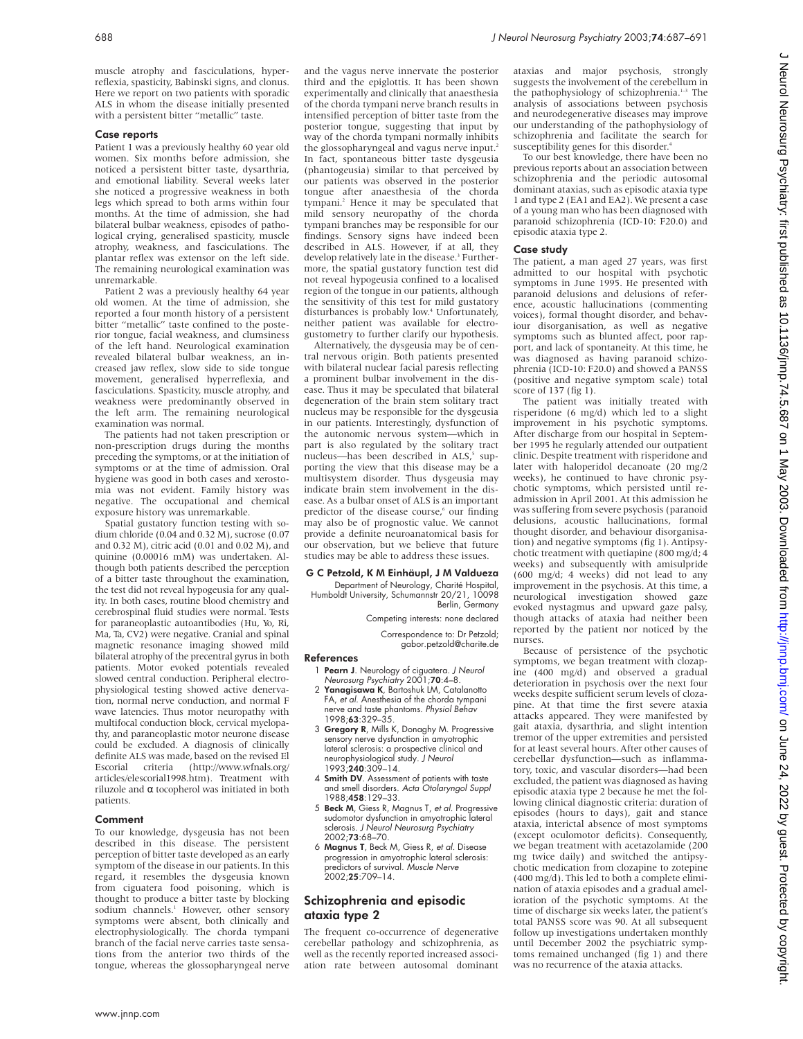muscle atrophy and fasciculations, hyperreflexia, spasticity, Babinski signs, and clonus. Here we report on two patients with sporadic ALS in whom the disease initially presented with a persistent bitter "metallic" taste.

## Case reports

Patient 1 was a previously healthy 60 year old women. Six months before admission, she noticed a persistent bitter taste, dysarthria, and emotional liability. Several weeks later she noticed a progressive weakness in both legs which spread to both arms within four months. At the time of admission, she had bilateral bulbar weakness, episodes of pathological crying, generalised spasticity, muscle atrophy, weakness, and fasciculations. The plantar reflex was extensor on the left side. The remaining neurological examination was unremarkable.

Patient 2 was a previously healthy 64 year old women. At the time of admission, she reported a four month history of a persistent bitter "metallic" taste confined to the posterior tongue, facial weakness, and clumsiness of the left hand. Neurological examination revealed bilateral bulbar weakness, an increased jaw reflex, slow side to side tongue movement, generalised hyperreflexia, and fasciculations. Spasticity, muscle atrophy, and weakness were predominantly observed in the left arm. The remaining neurological examination was normal.

The patients had not taken prescription or non-prescription drugs during the months preceding the symptoms, or at the initiation of symptoms or at the time of admission. Oral hygiene was good in both cases and xerostomia was not evident. Family history was negative. The occupational and chemical exposure history was unremarkable.

Spatial gustatory function testing with sodium chloride (0.04 and 0.32 M), sucrose (0.07 and 0.32 M), citric acid (0.01 and 0.02 M), and quinine (0.00016 mM) was undertaken. Although both patients described the perception of a bitter taste throughout the examination, the test did not reveal hypogeusia for any quality. In both cases, routine blood chemistry and cerebrospinal fluid studies were normal. Tests for paraneoplastic autoantibodies (Hu, Yo, Ri, Ma, Ta, CV2) were negative. Cranial and spinal magnetic resonance imaging showed mild bilateral atrophy of the precentral gyrus in both patients. Motor evoked potentials revealed slowed central conduction. Peripheral electrophysiological testing showed active denervation, normal nerve conduction, and normal F wave latencies. Thus motor neuropathy with multifocal conduction block, cervical myelopathy, and paraneoplastic motor neurone disease could be excluded. A diagnosis of clinically definite ALS was made, based on the revised El Escorial criteria (http://www.wfnals.org/  $(http://www.wfnals.org/$ articles/elescorial1998.htm). Treatment with riluzole and α tocopherol was initiated in both patients.

### Comment

To our knowledge, dysgeusia has not been described in this disease. The persistent perception of bitter taste developed as an early symptom of the disease in our patients. In this regard, it resembles the dysgeusia known from ciguatera food poisoning, which is thought to produce a bitter taste by blocking sodium channels.<sup>1</sup> However, other sensory symptoms were absent, both clinically and electrophysiologically. The chorda tympani branch of the facial nerve carries taste sensations from the anterior two thirds of the tongue, whereas the glossopharyngeal nerve

and the vagus nerve innervate the posterior third and the epiglottis. It has been shown experimentally and clinically that anaesthesia of the chorda tympani nerve branch results in intensified perception of bitter taste from the posterior tongue, suggesting that input by way of the chorda tympani normally inhibits the glossopharyngeal and vagus nerve input.<sup>2</sup> In fact, spontaneous bitter taste dysgeusia (phantogeusia) similar to that perceived by our patients was observed in the posterior tongue after anaesthesia of the chorda tympani.<sup>2</sup> Hence it may be speculated that mild sensory neuropathy of the chorda tympani branches may be responsible for our findings. Sensory signs have indeed been described in ALS. However, if at all, they develop relatively late in the disease.<sup>3</sup> Furthermore, the spatial gustatory function test did not reveal hypogeusia confined to a localised region of the tongue in our patients, although the sensitivity of this test for mild gustatory disturbances is probably low.<sup>4</sup> Unfortunately, neither patient was available for electrogustometry to further clarify our hypothesis.

Alternatively, the dysgeusia may be of central nervous origin. Both patients presented with bilateral nuclear facial paresis reflecting a prominent bulbar involvement in the disease. Thus it may be speculated that bilateral degeneration of the brain stem solitary tract nucleus may be responsible for the dysgeusia in our patients. Interestingly, dysfunction of the autonomic nervous system—which in part is also regulated by the solitary tract nucleus—has been described in ALS,<sup>5</sup> supporting the view that this disease may be a multisystem disorder. Thus dysgeusia may indicate brain stem involvement in the disease. As a bulbar onset of ALS is an important predictor of the disease course,<sup>6</sup> our finding may also be of prognostic value. We cannot provide a definite neuroanatomical basis for our observation, but we believe that future studies may be able to address these issues.

## G C Petzold, K M Einhäupl, J M Valdueza

Department of Neurology, Charité Hospital, Humboldt University, Schumannstr 20/21, 10098 Berlin, Germany

Competing interests: none declared

Correspondence to: Dr Petzold; gabor.petzold@charite.de

### References

- 1 Pearn J. Neurology of ciguatera. J Neurol Neurosurg Psychiatry 2001;70:4–8.
- 2 Yanagisawa K, Bartoshuk LM, Catalanotto FA, et al. Anesthesia of the chorda tympani nerve and taste phantoms. Physiol Behav 1998;63:329–35.
- 3 Gregory R, Mills K, Donaghy M. Progressive sensory nerve dysfunction in amyotrophic lateral sclerosis: a prospective clinical and neurophysiological study. J Neurol 1993;240:309–14.
- 4 Smith DV. Assessment of patients with taste and smell disorders. Acta Otolaryngol Suppl 1988:458:129-33.
- 5 Beck M, Giess R, Magnus T, et al. Progressive sudomotor dysfunction in amyotrophic lateral sclerosis. J Neurol Neurosurg Psychiatry 2002;73:68–70.
- 6 Magnus T, Beck M, Giess R, et al. Disease progression in amyotrophic lateral sclerosis: predictors of survival. Muscle Nerve 2002;25:709–14.

# Schizophrenia and episodic ataxia type 2

The frequent co-occurrence of degenerative cerebellar pathology and schizophrenia, as well as the recently reported increased association rate between autosomal dominant ataxias and major psychosis, strongly suggests the involvement of the cerebellum in the pathophysiology of schizophrenia.<sup>1-3</sup> The analysis of associations between psychosis and neurodegenerative diseases may improve our understanding of the pathophysiology of schizophrenia and facilitate the search for susceptibility genes for this disorder.<sup>4</sup>

To our best knowledge, there have been no previous reports about an association between schizophrenia and the periodic autosomal dominant ataxias, such as episodic ataxia type 1 and type 2 (EA1 and EA2). We present a case of a young man who has been diagnosed with paranoid schizophrenia (ICD-10: F20.0) and episodic ataxia type 2.

# Case study

The patient, a man aged 27 years, was first admitted to our hospital with psychotic symptoms in June 1995. He presented with paranoid delusions and delusions of reference, acoustic hallucinations (commenting voices), formal thought disorder, and behaviour disorganisation, as well as negative symptoms such as blunted affect, poor rapport, and lack of spontaneity. At this time, he was diagnosed as having paranoid schizophrenia (ICD-10: F20.0) and showed a PANSS (positive and negative symptom scale) total score of 137 (fig 1).

The patient was initially treated with risperidone (6 mg/d) which led to a slight improvement in his psychotic symptoms. After discharge from our hospital in September 1995 he regularly attended our outpatient clinic. Despite treatment with risperidone and later with haloperidol decanoate (20 mg/2 weeks), he continued to have chronic psychotic symptoms, which persisted until readmission in April 2001. At this admission he was suffering from severe psychosis (paranoid delusions, acoustic hallucinations, formal thought disorder, and behaviour disorganisation) and negative symptoms (fig 1). Antipsychotic treatment with quetiapine (800 mg/d; 4 weeks) and subsequently with amisulpride (600 mg/d; 4 weeks) did not lead to any improvement in the psychosis. At this time, a neurological investigation showed gaze evoked nystagmus and upward gaze palsy, though attacks of ataxia had neither been reported by the patient nor noticed by the nurses.

Because of persistence of the psychotic symptoms, we began treatment with clozapine (400 mg/d) and observed a gradual deterioration in psychosis over the next four weeks despite sufficient serum levels of clozapine. At that time the first severe ataxia attacks appeared. They were manifested by gait ataxia, dysarthria, and slight intention tremor of the upper extremities and persisted for at least several hours. After other causes of cerebellar dysfunction—such as inflammatory, toxic, and vascular disorders—had been excluded, the patient was diagnosed as having episodic ataxia type 2 because he met the following clinical diagnostic criteria: duration of episodes (hours to days), gait and stance ataxia, interictal absence of most symptoms (except oculomotor deficits). Consequently, we began treatment with acetazolamide (200 mg twice daily) and switched the antipsychotic medication from clozapine to zotepine (400 mg/d). This led to both a complete elimination of ataxia episodes and a gradual amelioration of the psychotic symptoms. At the time of discharge six weeks later, the patient's total PANSS score was 90. At all subsequent follow up investigations undertaken monthly until December 2002 the psychiatric symptoms remained unchanged (fig 1) and there was no recurrence of the ataxia attacks.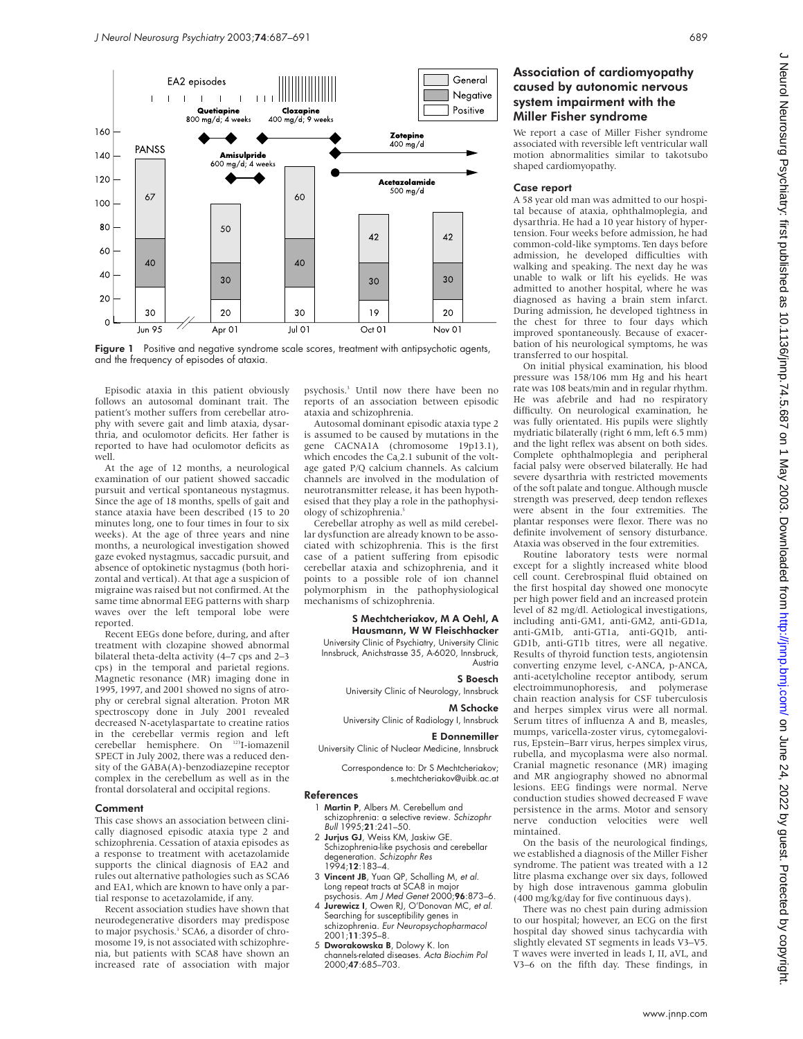



Episodic ataxia in this patient obviously follows an autosomal dominant trait. The patient's mother suffers from cerebellar atrophy with severe gait and limb ataxia, dysarthria, and oculomotor deficits. Her father is reported to have had oculomotor deficits as well.

At the age of 12 months, a neurological examination of our patient showed saccadic pursuit and vertical spontaneous nystagmus. Since the age of 18 months, spells of gait and stance ataxia have been described (15 to 20 minutes long, one to four times in four to six weeks). At the age of three years and nine months, a neurological investigation showed gaze evoked nystagmus, saccadic pursuit, and absence of optokinetic nystagmus (both horizontal and vertical). At that age a suspicion of migraine was raised but not confirmed. At the same time abnormal EEG patterns with sharp waves over the left temporal lobe were reported.

Recent EEGs done before, during, and after treatment with clozapine showed abnormal bilateral theta-delta activity (4–7 cps and 2–3 cps) in the temporal and parietal regions. Magnetic resonance (MR) imaging done in 1995, 1997, and 2001 showed no signs of atrophy or cerebral signal alteration. Proton MR spectroscopy done in July 2001 revealed decreased N-acetylaspartate to creatine ratios in the cerebellar vermis region and left cerebellar hemisphere. On 123I-iomazenil SPECT in July 2002, there was a reduced density of the GABA(A)-benzodiazepine receptor complex in the cerebellum as well as in the frontal dorsolateral and occipital regions.

## Comment

This case shows an association between clinically diagnosed episodic ataxia type 2 and schizophrenia. Cessation of ataxia episodes as a response to treatment with acetazolamide supports the clinical diagnosis of EA2 and rules out alternative pathologies such as SCA6 and EA1, which are known to have only a partial response to acetazolamide, if any.

Recent association studies have shown that neurodegenerative disorders may predispose to major psychosis.<sup>3</sup> SCA6, a disorder of chromosome 19, is not associated with schizophrenia, but patients with SCA8 have shown an increased rate of association with major

psychosis.3 Until now there have been no reports of an association between episodic ataxia and schizophrenia.

Autosomal dominant episodic ataxia type 2 is assumed to be caused by mutations in the gene CACNA1A (chromosome 19p13.1), which encodes the Ca<sub>v</sub>2.1 subunit of the voltage gated P/Q calcium channels. As calcium channels are involved in the modulation of neurotransmitter release, it has been hypothesised that they play a role in the pathophysiology of schizophrenia.<sup>5</sup>

Cerebellar atrophy as well as mild cerebellar dysfunction are already known to be associated with schizophrenia. This is the first case of a patient suffering from episodic cerebellar ataxia and schizophrenia, and it points to a possible role of ion channel polymorphism in the pathophysiological mechanisms of schizophrenia.

## S Mechtcheriakov, M A Oehl, A Hausmann, W W Fleischhacker

University Clinic of Psychiatry, University Clinic Innsbruck, Anichstrasse 35, A-6020, Innsbruck, Austria

### S Boesch

University Clinic of Neurology, Innsbruck

#### M Schocke

University Clinic of Radiology I, Innsbruck

### E Donnemiller University Clinic of Nuclear Medicine, Innsbruck

Correspondence to: Dr S Mechtcheriakov; s.mechtcheriakov@uibk.ac.at

### References

- 1 Martin P, Albers M. Cerebellum and schizophrenia: a selective review. Schizophr Bull 1995;21:241–50.
- 2 Jurjus GJ, Weiss KM, Jaskiw GE. Schizophrenia-like psychosis and cerebellar degeneration. Schizophr Res 1994;12:183–4.
- 3 Vincent JB, Yuan QP, Schalling M, et al. Long repeat tracts at SCA8 in major
- psychosis. Am J Med Genet 2000;96:873–6. 4 Jurewicz I, Owen RJ, O'Donovan MC, et al. Searching for susceptibility genes in
- schizophrenia. Eur Neuropsychopharmacol 2001;11:395–8. 5 Dworakowska B, Dolowy K. Ion
- channels-related diseases. Acta Biochim Pol 2000;47:685–703.

# Association of cardiomyopathy caused by autonomic nervous system impairment with the Miller Fisher syndrome

We report a case of Miller Fisher syndrome associated with reversible left ventricular wall motion abnormalities similar to takotsubo shaped cardiomyopathy.

### Case report

A 58 year old man was admitted to our hospital because of ataxia, ophthalmoplegia, and dysarthria. He had a 10 year history of hypertension. Four weeks before admission, he had common-cold-like symptoms. Ten days before admission, he developed difficulties with walking and speaking. The next day he was unable to walk or lift his eyelids. He was admitted to another hospital, where he was diagnosed as having a brain stem infarct. During admission, he developed tightness in the chest for three to four days which improved spontaneously. Because of exacerbation of his neurological symptoms, he was transferred to our hospital.

On initial physical examination, his blood pressure was 158/106 mm Hg and his heart rate was 108 beats/min and in regular rhythm. He was afebrile and had no respiratory difficulty. On neurological examination, he was fully orientated. His pupils were slightly mydriatic bilaterally (right 6 mm, left 6.5 mm) and the light reflex was absent on both sides. Complete ophthalmoplegia and peripheral facial palsy were observed bilaterally. He had severe dysarthria with restricted movements of the soft palate and tongue. Although muscle strength was preserved, deep tendon reflexes were absent in the four extremities. The plantar responses were flexor. There was no definite involvement of sensory disturbance. Ataxia was observed in the four extremities.

Routine laboratory tests were normal except for a slightly increased white blood cell count. Cerebrospinal fluid obtained on the first hospital day showed one monocyte per high power field and an increased protein level of 82 mg/dl. Aetiological investigations, including anti-GM1, anti-GM2, anti-GD1a, anti-GM1b, anti-GT1a, anti-GQ1b, anti-GD1b, anti-GT1b titres, were all negative. Results of thyroid function tests, angiotensin converting enzyme level, c-ANCA, p-ANCA, anti-acetylcholine receptor antibody, serum electroimmunophoresis, and polymerase chain reaction analysis for CSF tuberculosis and herpes simplex virus were all normal. Serum titres of influenza A and B, measles, mumps, varicella-zoster virus, cytomegalovirus, Epstein–Barr virus, herpes simplex virus, rubella, and mycoplasma were also normal. Cranial magnetic resonance (MR) imaging and MR angiography showed no abnormal lesions. EEG findings were normal. Nerve conduction studies showed decreased F wave persistence in the arms. Motor and sensory nerve conduction velocities were well mintained.

On the basis of the neurological findings, we established a diagnosis of the Miller Fisher syndrome. The patient was treated with a 12 litre plasma exchange over six days, followed by high dose intravenous gamma globulin (400 mg/kg/day for five continuous days).

There was no chest pain during admission to our hospital; however, an ECG on the first hospital day showed sinus tachycardia with slightly elevated ST segments in leads V3–V5. T waves were inverted in leads I, II, aVL, and V3–6 on the fifth day. These findings, in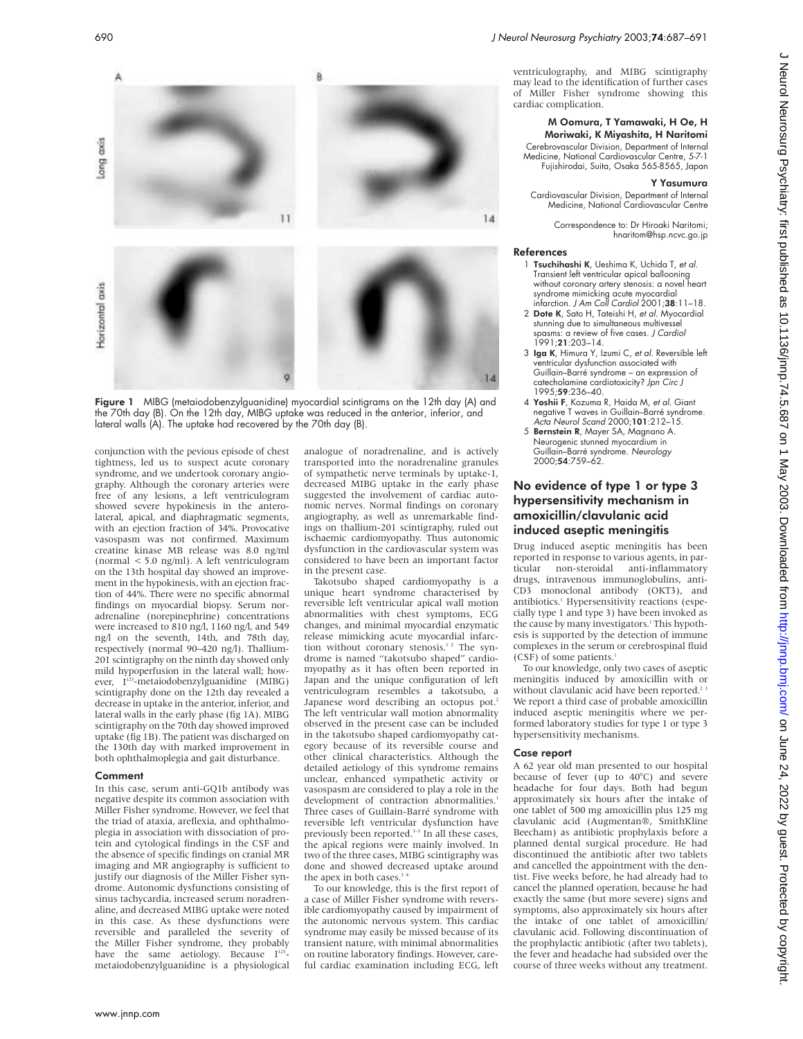

Figure 1 MIBG (metaiodobenzylguanidine) myocardial scintigrams on the 12th day (A) and the 70th day (B). On the 12th day, MIBG uptake was reduced in the anterior, inferior, and lateral walls (A). The uptake had recovered by the 70th day (B).

conjunction with the pevious episode of chest tightness, led us to suspect acute coronary syndrome, and we undertook coronary angiography. Although the coronary arteries were free of any lesions, a left ventriculogram showed severe hypokinesis in the anterolateral, apical, and diaphragmatic segments, with an ejection fraction of 34%. Provocative vasospasm was not confirmed. Maximum creatine kinase MB release was 8.0 ng/ml (normal < 5.0 ng/ml). A left ventriculogram on the 13th hospital day showed an improvement in the hypokinesis, with an ejection fraction of 44%. There were no specific abnormal findings on myocardial biopsy. Serum noradrenaline (norepinephrine) concentrations were increased to 810 ng/l, 1160 ng/l, and 549 ng/l on the seventh, 14th, and 78th day, respectively (normal 90–420 ng/l). Thallium-201 scintigraphy on the ninth day showed only mild hypoperfusion in the lateral wall; however, I<sup>123</sup>-metaiodobenzylguanidine (MIBG) scintigraphy done on the 12th day revealed a decrease in uptake in the anterior, inferior, and lateral walls in the early phase (fig 1A). MIBG scintigraphy on the 70th day showed improved uptake (fig 1B). The patient was discharged on the 130th day with marked improvement in both ophthalmoplegia and gait disturbance.

### Comment

In this case, serum anti-GQ1b antibody was negative despite its common association with Miller Fisher syndrome. However, we feel that the triad of ataxia, areflexia, and ophthalmoplegia in association with dissociation of protein and cytological findings in the CSF and the absence of specific findings on cranial MR imaging and MR angiography is sufficient to justify our diagnosis of the Miller Fisher syndrome. Autonomic dysfunctions consisting of sinus tachycardia, increased serum noradrenaline, and decreased MIBG uptake were noted in this case. As these dysfunctions were reversible and paralleled the severity of the Miller Fisher syndrome, they probably have the same aetiology. Because  $I^{123}$ metaiodobenzylguanidine is a physiological

analogue of noradrenaline, and is actively transported into the noradrenaline granules of sympathetic nerve terminals by uptake-1, decreased MIBG uptake in the early phase suggested the involvement of cardiac autonomic nerves. Normal findings on coronary angiography, as well as unremarkable findings on thallium-201 scintigraphy, ruled out ischaemic cardiomyopathy. Thus autonomic dysfunction in the cardiovascular system was considered to have been an important factor in the present case.

Takotsubo shaped cardiomyopathy is a unique heart syndrome characterised by reversible left ventricular apical wall motion abnormalities with chest symptoms, ECG changes, and minimal myocardial enzymatic release mimicking acute myocardial infarction without coronary stenosis.<sup>12</sup> The syndrome is named "takotsubo shaped" cardiomyopathy as it has often been reported in Japan and the unique configuration of left ventriculogram resembles a takotsubo, a Japanese word describing an octopus pot.<sup>2</sup> The left ventricular wall motion abnormality observed in the present case can be included in the takotsubo shaped cardiomyopathy category because of its reversible course and other clinical characteristics. Although the detailed aetiology of this syndrome remains unclear, enhanced sympathetic activity or vasospasm are considered to play a role in the development of contraction abnormalities. Three cases of Guillain-Barré syndrome with reversible left ventricular dysfunction have previously been reported.<sup>3-5</sup> In all these cases, the apical regions were mainly involved. In two of the three cases, MIBG scintigraphy was done and showed decreased uptake around the apex in both cases.<sup>3</sup>

To our knowledge, this is the first report of a case of Miller Fisher syndrome with reversible cardiomyopathy caused by impairment of the autonomic nervous system. This cardiac syndrome may easily be missed because of its transient nature, with minimal abnormalities on routine laboratory findings. However, careful cardiac examination including ECG, left

ventriculography, and MIBG scintigraphy may lead to the identification of further cases of Miller Fisher syndrome showing this cardiac complication.

# M Oomura, T Yamawaki, H Oe, H Moriwaki, K Miyashita, H Naritomi

Cerebrovascular Division, Department of Internal Medicine, National Cardiovascular Centre, 5-7-1 Fujishirodai, Suita, Osaka 565-8565, Japan

#### Y Yasumura

Cardiovascular Division, Department of Internal Medicine, National Cardiovascular Centre

Correspondence to: Dr Hiroaki Naritomi; hnaritom@hsp.ncvc.go.jp

### References

- 1 Tsuchihashi K, Ueshima K, Uchida T, et al. Transient left ventricular apical ballooning without coronary artery stenosis: a novel heart syndrome mimicking acute myocardial infarction. J Am Coll Cardiol 2001;38:11–18.
- 2 Dote K, Sato H, Tateishi H, et al. Myocardial stunning due to simultaneous multivessel spasms: a review of five cases. J Cardiol 1991;21:203–14.
- 3 Iga K, Himura Y, Izumi C, et al. Reversible left ventricular dysfunction associated with Guillain–Barré syndrome – an expression of catecholamine cardiotoxicity? Jpn Circ J 1995;59:236–40.
- 4 Yoshii F, Kozuma R, Haida M, et al. Giant negative T waves in Guillain–Barré syndrome. Acta Neurol Scand 2000;101:212–15.
- 5 Bernstein R, Mayer SA, Magnano A. Neurogenic stunned myocardium in<br>Guillain–Barré syndrome. *Neurology*<br>2000;**54**:759–62.

# No evidence of type 1 or type 3 hypersensitivity mechanism in amoxicillin/clavulanic acid induced aseptic meningitis

Drug induced aseptic meningitis has been reported in response to various agents, in par-<br>ticular pon-steroidal anti-inflammatory non-steroidal anti-inflammatory drugs, intravenous immunoglobulins, anti-CD3 monoclonal antibody (OKT3), and antibiotics.<sup>1</sup> Hypersensitivity reactions (especially type 1 and type 3) have been invoked as the cause by many investigators.<sup>1</sup> This hypothesis is supported by the detection of immune complexes in the serum or cerebrospinal fluid (CSF) of some patients.

To our knowledge, only two cases of aseptic meningitis induced by amoxicillin with or without clavulanic acid have been reported.<sup>2</sup> We report a third case of probable amoxicillin induced aseptic meningitis where we performed laboratory studies for type 1 or type 3 hypersensitivity mechanisms.

## Case report

A 62 year old man presented to our hospital because of fever (up to 40°C) and severe headache for four days. Both had begun approximately six hours after the intake of one tablet of 500 mg amoxicillin plus 125 mg clavulanic acid (Augmentan®, SmithKline Beecham) as antibiotic prophylaxis before a planned dental surgical procedure. He had discontinued the antibiotic after two tablets and cancelled the appointment with the dentist. Five weeks before, he had already had to cancel the planned operation, because he had exactly the same (but more severe) signs and symptoms, also approximately six hours after the intake of one tablet of amoxicillin/ clavulanic acid. Following discontinuation of the prophylactic antibiotic (after two tablets), the fever and headache had subsided over the course of three weeks without any treatment.